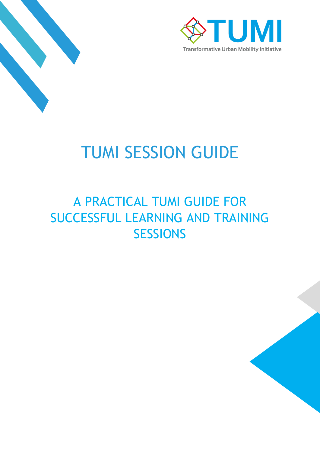



# TUMI SESSION GUIDE

## A PRACTICAL TUMI GUIDE FOR SUCCESSFUL LEARNING AND TRAINING **SESSIONS**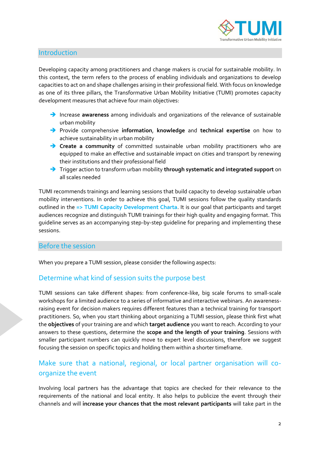

## Introduction

Developing capacity among practitioners and change makers is crucial for sustainable mobility. In this context, the term refers to the process of enabling individuals and organizations to develop capacities to act on and shape challenges arising in their professional field. With focus on knowledge as one of its three pillars, the Transformative Urban Mobility Initiative (TUMI) promotes capacity development measures that achieve four main objectives:

- ➔ Increase **awareness** among individuals and organizations of the relevance of sustainable urban mobility
- ➔ Provide comprehensive **information**, **knowledge** and **technical expertise** on how to achieve sustainability in urban mobility
- ➔ **Create a community** of committed sustainable urban mobility practitioners who are equipped to make an effective and sustainable impact on cities and transport by renewing their institutions and their professional field
- ➔ Trigger action to transform urban mobility **through systematic and integrated support** on all scales needed

TUMI recommends trainings and learning sessions that build capacity to develop sustainable urban mobility interventions. In order to achieve this goal, TUMI sessions follow the quality standards outlined in the **=> TUMI Capacity Development Charta**. It is our goal that participants and target audiences recognize and distinguish TUMI trainings for their high quality and engaging format. This guideline serves as an accompanying step-by-step guideline for preparing and implementing these sessions.

#### Before the session

When you prepare a TUMI session, please consider the following aspects:

## Determine what kind of session suits the purpose best

TUMI sessions can take different shapes: from conference-like, big scale forums to small-scale workshops for a limited audience to a series of informative and interactive webinars. An awarenessraising event for decision makers requires different features than a technical training for transport practitioners. So, when you start thinking about organizing a TUMI session, please think first what the **objectives** of your training are and which **target audience** you want to reach. According to your answers to these questions, determine the **scope and the length of your training**. Sessions with smaller participant numbers can quickly move to expert level discussions, therefore we suggest focusing the session on specific topics and holding them within a shorter timeframe.

## Make sure that a national, regional, or local partner organisation will coorganize the event

Involving local partners has the advantage that topics are checked for their relevance to the requirements of the national and local entity. It also helps to publicize the event through their channels and will **increase your chances that the most relevant participants** will take part in the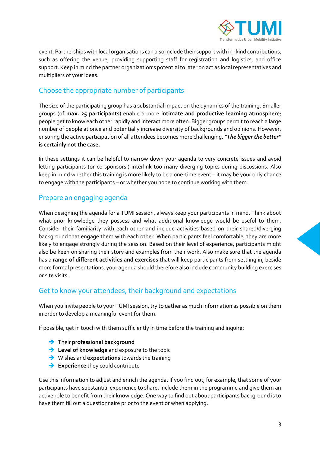

event. Partnerships with local organisations can also include their support with in- kind contributions, such as offering the venue, providing supporting staff for registration and logistics, and office support. Keep in mind the partner organization's potential to later on act as local representatives and multipliers of your ideas.

## Choose the appropriate number of participants

The size of the participating group has a substantial impact on the dynamics of the training. Smaller groups (of **max. 25 participants**) enable a more **intimate and productive learning atmosphere**; people get to know each other rapidly and interact more often. Bigger groups permit to reach a large number of people at once and potentially increase diversity of backgrounds and opinions. However, ensuring the active participation of all attendees becomes more challenging. *"The bigger the better"* **is certainly not the case.** 

In these settings it can be helpful to narrow down your agenda to very concrete issues and avoid letting participants (or co-sponsors!) interlink too many diverging topics during discussions. Also keep in mind whether this training is more likely to be a one-time event – it may be your only chance to engage with the participants – or whether you hope to continue working with them.

## Prepare an engaging agenda

When designing the agenda for a TUMI session, always keep your participants in mind. Think about what prior knowledge they possess and what additional knowledge would be useful to them. Consider their familiarity with each other and include activities based on their shared/diverging background that engage them with each other. When participants feel comfortable, they are more likely to engage strongly during the session. Based on their level of experience, participants might also be keen on sharing their story and examples from their work. Also make sure that the agenda has a **range of different activities and exercises** that will keep participants from settling in; beside more formal presentations, your agenda should therefore also include community building exercises or site visits.

## Get to know your attendees, their background and expectations

When you invite people to your TUMI session, try to gather as much information as possible on them in order to develop a meaningful event for them.

If possible, get in touch with them sufficiently in time before the training and inquire:

- ➔ Their **professional background**
- ➔ **Level of knowledge** and exposure to the topic
- ➔ Wishes and **expectations** towards the training
- **→ Experience** they could contribute

Use this information to adjust and enrich the agenda. If you find out, for example, that some of your participants have substantial experience to share, include them in the programme and give them an active role to benefit from their knowledge. One way to find out about participants background is to have them fill out a questionnaire prior to the event or when applying.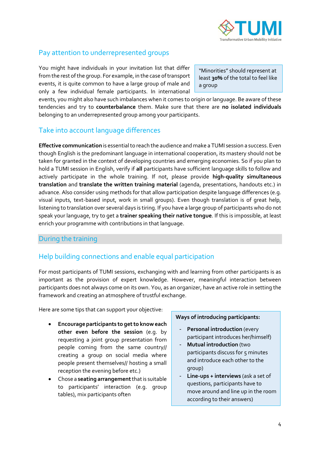

## Pay attention to underrepresented groups

You might have individuals in your invitation list that differ from the rest of the group. For example, in the case of transport events, it is quite common to have a large group of male and only a few individual female participants. In international

"Minorities" should represent at least **30%** of the total to feel like a group

events, you might also have such imbalances when it comes to origin or language. Be aware of these tendencies and try to **counterbalance** them. Make sure that there are **no isolated individuals** belonging to an underrepresented group among your participants.

## Take into account language differences

**Effective communication** is essential to reach the audience and make a TUMI session a success. Even though English is the predominant language in international cooperation, its mastery should not be taken for granted in the context of developing countries and emerging economies. So if you plan to hold a TUMI session in English, verify if **all** participants have sufficient language skills to follow and actively participate in the whole training. If not, please provide **high-quality simultaneous translation** and **translate the written training material** (agenda, presentations, handouts etc.) in advance. Also consider using methods for that allow participation despite language differences (e.g. visual inputs, text-based input, work in small groups). Even though translation is of great help, listening to translation over several days is tiring. If you have a large group of participants who do not speak your language, try to get a **trainer speaking their native tongue**. If this is impossible, at least enrich your programme with contributions in that language.

## During the training

## Help building connections and enable equal participation

For most participants of TUMI sessions, exchanging with and learning from other participants is as important as the provision of expert knowledge. However, meaningful interaction between participants does not always come on its own. You, as an organizer, have an active role in setting the framework and creating an atmosphere of trustful exchange.

Here are some tips that can support your objective:

- **Encourage participants to get to know each other even before the session** (e.g. by requesting a joint group presentation from people coming from the same country// creating a group on social media where people present themselves// hosting a small reception the evening before etc.)
- Chose a **seating arrangement**that is suitable to participants' interaction (e.g. group tables), mix participants often

#### **Ways of introducing participants:**

- **Personal introduction** (every participant introduces her/himself)
- **Mutual introduction** (two participants discuss for 5 minutes and introduce each other to the group)
- Line-ups + interviews (ask a set of questions, participants have to move around and line up in the room according to their answers)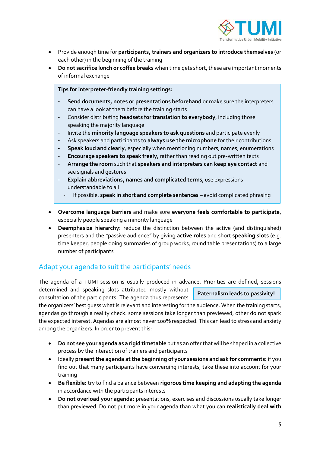

- Provide enough time for **participants, trainers and organizers to introduce themselves** (or each other) in the beginning of the training
- **Do not sacrifice lunch or coffee breaks** when time gets short, these are important moments of informal exchange

**Tips for interpreter-friendly training settings:** 

- **Send documents, notes or presentations beforehand** or make sure the interpreters can have a look at them before the training starts
- Consider distributing **headsets for translation to everybody**, including those speaking the majority language
- Invite the **minority language speakers to ask questions** and participate evenly
- Ask speakers and participants to **always use the microphone** for their contributions
- **Speak loud and clearly**, especially when mentioning numbers, names, enumerations
- **Encourage speakers to speak freely**, rather than reading out pre-written texts
- **Arrange the room** such that **speakers and interpreters can keep eye contact** and see signals and gestures
- **Explain abbreviations, names and complicated terms**, use expressions understandable to all
	- If possible, **speak in short and complete sentences** avoid complicated phrasing
- **Overcome language barriers** and make sure **everyone feels comfortable to participate**, especially people speaking a minority language
- **Deemphasize hierarchy:** reduce the distinction between the active (and distinguished) presenters and the "passive audience" by giving **active roles** and short **speaking slots** (e.g. time keeper, people doing summaries of group works, round table presentations) to a large number of participants

## Adapt your agenda to suit the participants' needs

The agenda of a TUMI session is usually produced in advance. Priorities are defined, sessions determined and speaking slots attributed mostly without **Paternalism leads to passivity!**

consultation of the participants. The agenda thus represents

the organizers' best guess what is relevant and interesting for the audience. When the training starts, agendas go through a reality check: some sessions take longer than previewed, other do not spark the expected interest. Agendas are almost never 100% respected. This can lead to stress and anxiety among the organizers. In order to prevent this:

- **Do not see your agenda as a rigid timetable** but as an offer that will be shaped in a collective process by the interaction of trainers and participants
- Ideally **present the agenda at the beginning of your sessions and ask for comments:** if you find out that many participants have converging interests, take these into account for your training
- **Be flexible:** try to find a balance between **rigorous time keeping and adapting the agenda**  in accordance with the participants interests
- **Do not overload your agenda:** presentations, exercises and discussions usually take longer than previewed. Do not put more in your agenda than what you can **realistically deal with**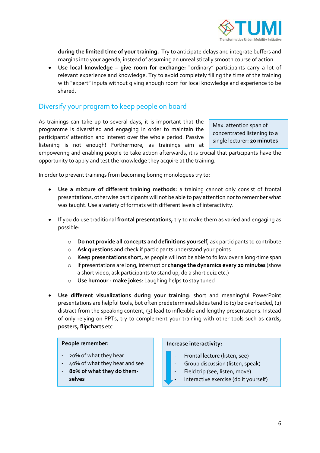

**during the limited time of your training.** Try to anticipate delays and integrate buffers and margins into your agenda, instead of assuming an unrealistically smooth course of action.

• **Use local knowledge – give room for exchange:** "ordinary" participants carry a lot of relevant experience and knowledge. Try to avoid completely filling the time of the training with "expert" inputs without giving enough room for local knowledge and experience to be shared.

## Diversify your program to keep people on board

As trainings can take up to several days, it is important that the programme is diversified and engaging in order to maintain the participants' attention and interest over the whole period. Passive listening is not enough! Furthermore, as trainings aim at

Max. attention span of concentrated listening to a single lecturer: **20 minutes**

empowering and enabling people to take action afterwards, it is crucial that participants have the opportunity to apply and test the knowledge they acquire at the training.

In order to prevent trainings from becoming boring monologues try to:

- **Use a mixture of different training methods:** a training cannot only consist of frontal presentations, otherwise participants will not be able to pay attention nor to remember what was taught. Use a variety of formats with different levels of interactivity.
- If you do use traditional **frontal presentations,** try to make them as varied and engaging as possible:
	- o **Do not provide all concepts and definitions yourself**, ask participants to contribute
	- o **Ask questions** and check if participants understand your points
	- o **Keep presentations short,** as people will not be able to follow over a long-time span
	- o If presentations are long, interrupt or **change the dynamics every 20 minutes** (show a short video, ask participants to stand up, do a short quiz etc.)
	- o **Use humour - make jokes**: Laughing helps to stay tuned
- **Use different visualizations during your training**: short and meaningful PowerPoint presentations are helpful tools, but often predetermined slides tend to (1) be overloaded, (2) distract from the speaking content, (3) lead to inflexible and lengthy presentations. Instead of only relying on PPTs, try to complement your training with other tools such as **cards, posters, flipcharts** etc.

#### **People remember:**

- 20% of what they hear
- 40% of what they hear and see
- **80% of what they do themselves**

#### **Increase interactivity:**

- Frontal lecture (listen, see)
- Group discussion (listen, speak)
- Field trip (see, listen, move)
- Interactive exercise (do it yourself)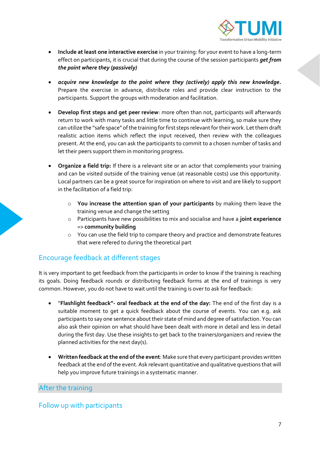

- **Include at least one interactive exercise** in your training: for your event to have a long-term effect on participants, it is crucial that during the course of the session participants *get from the point where they (passively)*
- *acquire new knowledge to the point where they (actively) apply this new knowledge***.**  Prepare the exercise in advance, distribute roles and provide clear instruction to the participants. Support the groups with moderation and facilitation.
- **Develop first steps and get peer review**: more often than not, participants will afterwards return to work with many tasks and little time to continue with learning, so make sure they can utilize the "safe space" of the training for first steps relevant for their work. Let them draft realistic action items which reflect the input received, then review with the colleagues present. At the end, you can ask the participants to commit to a chosen number of tasks and let their peers support them in monitoring progress.
- **Organize a field trip:** If there is a relevant site or an actor that complements your training and can be visited outside of the training venue (at reasonable costs) use this opportunity. Local partners can be a great source for inspiration on where to visit and are likely to support in the facilitation of a field trip:
	- o **You increase the attention span of your participants** by making them leave the training venue and change the setting
	- o Participants have new possibilities to mix and socialise and have a **joint experience**  => **community building**
	- o You can use the field trip to compare theory and practice and demonstrate features that were refered to during the theoretical part

## Encourage feedback at different stages

It is very important to get feedback from the participants in order to know if the training is reaching its goals. Doing feedback rounds or distributing feedback forms at the end of trainings is very common. However, you do not have to wait until the training is over to ask for feedback:

- "**Flashlight feedback"- oral feedback at the end of the day:** The end of the first day is a suitable moment to get a quick feedback about the course of events. You can e.g. ask participants to say one sentence about their state of mind and degree of satisfaction. You can also ask their opinion on what should have been dealt with more in detail and less in detail during the first day. Use these insights to get back to the trainers/organizers and review the planned activities for the next day(s).
- **Written feedback at the end of the event**: Make sure that every participant provides written feedback at the end of the event. Ask relevant quantitative and qualitative questions that will help you improve future trainings in a systematic manner.

## After the training

## Follow up with participants